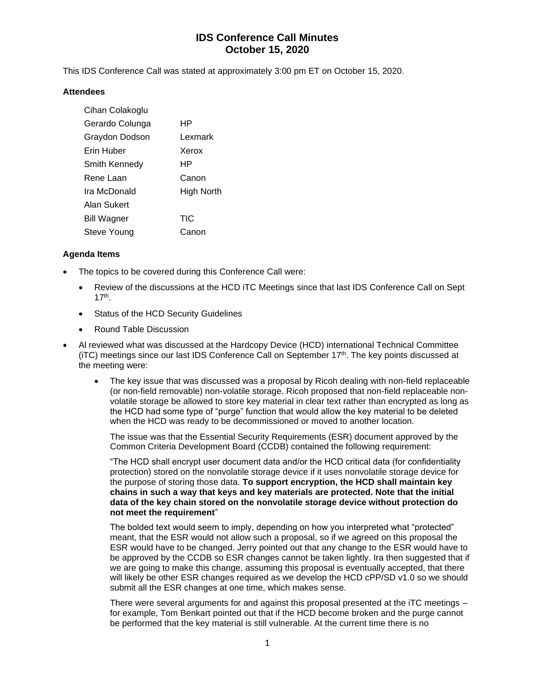## **IDS Conference Call Minutes October 15, 2020**

This IDS Conference Call was stated at approximately 3:00 pm ET on October 15, 2020.

#### **Attendees**

| Cihan Colakoglu    |            |
|--------------------|------------|
| Gerardo Colunga    | ΗP         |
| Graydon Dodson     | Lexmark    |
| Erin Huber         | Xerox      |
| Smith Kennedy      | ΗP         |
| Rene Laan          | Canon      |
| Ira McDonald       | High North |
| Alan Sukert        |            |
| <b>Bill Wagner</b> | <b>TIC</b> |
| Steve Young        | Canon      |

#### **Agenda Items**

- The topics to be covered during this Conference Call were:
	- Review of the discussions at the HCD iTC Meetings since that last IDS Conference Call on Sept 17th .
	- Status of the HCD Security Guidelines
	- Round Table Discussion
- Al reviewed what was discussed at the Hardcopy Device (HCD) international Technical Committee (iTC) meetings since our last IDS Conference Call on September 17<sup>th</sup>. The key points discussed at the meeting were:
	- The key issue that was discussed was a proposal by Ricoh dealing with non-field replaceable (or non-field removable) non-volatile storage. Ricoh proposed that non-field replaceable nonvolatile storage be allowed to store key material in clear text rather than encrypted as long as the HCD had some type of "purge" function that would allow the key material to be deleted when the HCD was ready to be decommissioned or moved to another location.

The issue was that the Essential Security Requirements (ESR) document approved by the Common Criteria Development Board (CCDB) contained the following requirement:

"The HCD shall encrypt user document data and/or the HCD critical data (for confidentiality protection) stored on the nonvolatile storage device if it uses nonvolatile storage device for the purpose of storing those data. **To support encryption, the HCD shall maintain key chains in such a way that keys and key materials are protected. Note that the initial data of the key chain stored on the nonvolatile storage device without protection do not meet the requirement**"

The bolded text would seem to imply, depending on how you interpreted what "protected" meant, that the ESR would not allow such a proposal, so if we agreed on this proposal the ESR would have to be changed. Jerry pointed out that any change to the ESR would have to be approved by the CCDB so ESR changes cannot be taken lightly. Ira then suggested that if we are going to make this change, assuming this proposal is eventually accepted, that there will likely be other ESR changes required as we develop the HCD cPP/SD v1.0 so we should submit all the ESR changes at one time, which makes sense.

There were several arguments for and against this proposal presented at the iTC meetings – for example, Tom Benkart pointed out that if the HCD become broken and the purge cannot be performed that the key material is still vulnerable. At the current time there is no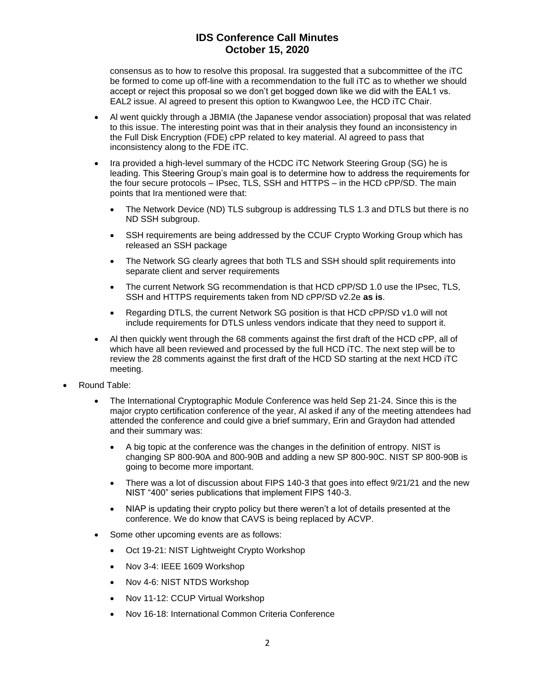## **IDS Conference Call Minutes October 15, 2020**

consensus as to how to resolve this proposal. Ira suggested that a subcommittee of the iTC be formed to come up off-line with a recommendation to the full iTC as to whether we should accept or reject this proposal so we don't get bogged down like we did with the EAL1 vs. EAL2 issue. Al agreed to present this option to Kwangwoo Lee, the HCD iTC Chair.

- Al went quickly through a JBMIA (the Japanese vendor association) proposal that was related to this issue. The interesting point was that in their analysis they found an inconsistency in the Full Disk Encryption (FDE) cPP related to key material. Al agreed to pass that inconsistency along to the FDE iTC.
- Ira provided a high-level summary of the HCDC iTC Network Steering Group (SG) he is leading. This Steering Group's main goal is to determine how to address the requirements for the four secure protocols – IPsec, TLS, SSH and HTTPS – in the HCD cPP/SD. The main points that Ira mentioned were that:
	- The Network Device (ND) TLS subgroup is addressing TLS 1.3 and DTLS but there is no ND SSH subgroup.
	- SSH requirements are being addressed by the CCUF Crypto Working Group which has released an SSH package
	- The Network SG clearly agrees that both TLS and SSH should split requirements into separate client and server requirements
	- The current Network SG recommendation is that HCD cPP/SD 1.0 use the IPsec, TLS, SSH and HTTPS requirements taken from ND cPP/SD v2.2e **as is**.
	- Regarding DTLS, the current Network SG position is that HCD cPP/SD v1.0 will not include requirements for DTLS unless vendors indicate that they need to support it.
- Al then quickly went through the 68 comments against the first draft of the HCD cPP, all of which have all been reviewed and processed by the full HCD iTC. The next step will be to review the 28 comments against the first draft of the HCD SD starting at the next HCD iTC meeting.
- Round Table:
	- The International Cryptographic Module Conference was held Sep 21-24. Since this is the major crypto certification conference of the year, Al asked if any of the meeting attendees had attended the conference and could give a brief summary, Erin and Graydon had attended and their summary was:
		- A big topic at the conference was the changes in the definition of entropy. NIST is changing SP 800-90A and 800-90B and adding a new SP 800-90C. NIST SP 800-90B is going to become more important.
		- There was a lot of discussion about FIPS 140-3 that goes into effect 9/21/21 and the new NIST "400" series publications that implement FIPS 140-3.
		- NIAP is updating their crypto policy but there weren't a lot of details presented at the conference. We do know that CAVS is being replaced by ACVP.
	- Some other upcoming events are as follows:
		- Oct 19-21: NIST Lightweight Crypto Workshop
		- Nov 3-4: IEEE 1609 Workshop
		- Nov 4-6: NIST NTDS Workshop
		- Nov 11-12: CCUP Virtual Workshop
		- Nov 16-18: International Common Criteria Conference